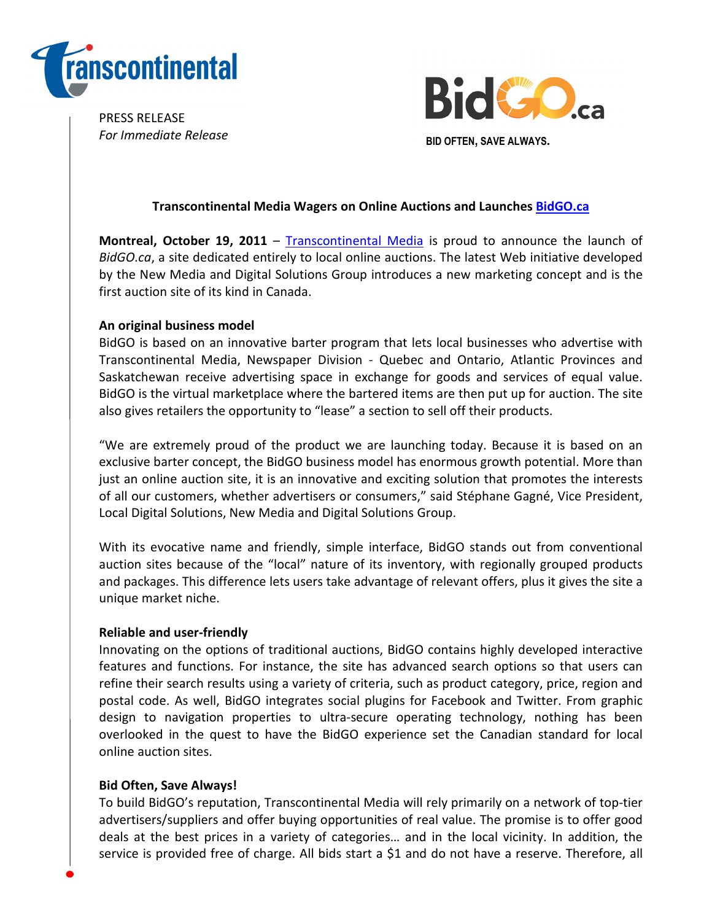

PRESS RELEASE For Immediate Release



# Transcontinental Media Wagers on Online Auctions and Launches BidGO.ca

Montreal, October 19, 2011 – Transcontinental Media is proud to announce the launch of BidGO.ca, a site dedicated entirely to local online auctions. The latest Web initiative developed by the New Media and Digital Solutions Group introduces a new marketing concept and is the first auction site of its kind in Canada.

## An original business model

BidGO is based on an innovative barter program that lets local businesses who advertise with Transcontinental Media, Newspaper Division - Quebec and Ontario, Atlantic Provinces and Saskatchewan receive advertising space in exchange for goods and services of equal value. BidGO is the virtual marketplace where the bartered items are then put up for auction. The site also gives retailers the opportunity to "lease" a section to sell off their products.

"We are extremely proud of the product we are launching today. Because it is based on an exclusive barter concept, the BidGO business model has enormous growth potential. More than just an online auction site, it is an innovative and exciting solution that promotes the interests of all our customers, whether advertisers or consumers," said Stéphane Gagné, Vice President, Local Digital Solutions, New Media and Digital Solutions Group.

With its evocative name and friendly, simple interface, BidGO stands out from conventional auction sites because of the "local" nature of its inventory, with regionally grouped products and packages. This difference lets users take advantage of relevant offers, plus it gives the site a unique market niche.

## Reliable and user-friendly

Innovating on the options of traditional auctions, BidGO contains highly developed interactive features and functions. For instance, the site has advanced search options so that users can refine their search results using a variety of criteria, such as product category, price, region and postal code. As well, BidGO integrates social plugins for Facebook and Twitter. From graphic design to navigation properties to ultra-secure operating technology, nothing has been overlooked in the quest to have the BidGO experience set the Canadian standard for local online auction sites.

## Bid Often, Save Always!

To build BidGO's reputation, Transcontinental Media will rely primarily on a network of top-tier advertisers/suppliers and offer buying opportunities of real value. The promise is to offer good deals at the best prices in a variety of categories… and in the local vicinity. In addition, the service is provided free of charge. All bids start a \$1 and do not have a reserve. Therefore, all